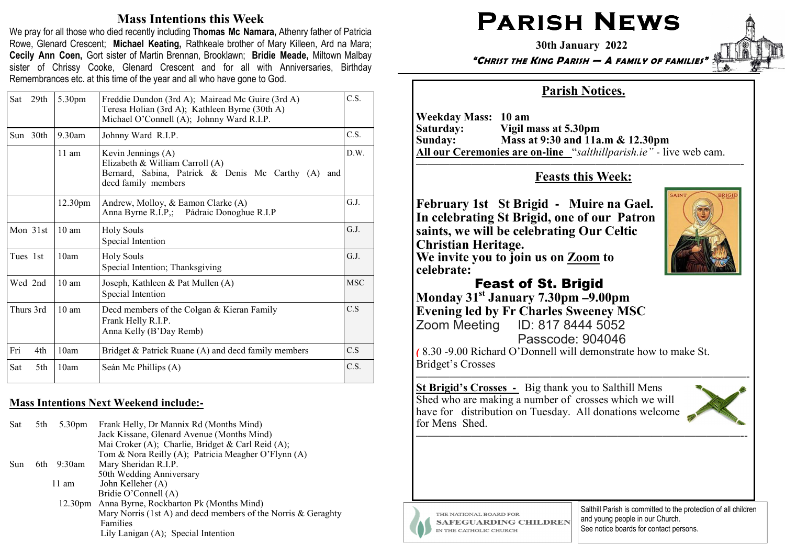# Mass Intentions this Week

We pray for all those who died recently including Thomas Mc Namara, Athenry father of Patricia Rowe, Glenard Crescent; Michael Keating, Rathkeale brother of Mary Killeen, Ard na Mara; Cecily Ann Coen, Gort sister of Martin Brennan, Brooklawn; Bridie Meade, Miltown Malbay sister of Chrissy Cooke, Glenard Crescent and for all with Anniversaries, Birthday Remembrances etc. at this time of the year and all who have gone to God.

| Sat       | 29 <sub>th</sub> | 5.30pm              | Freddie Dundon (3rd A); Mairead Mc Guire (3rd A)<br>Teresa Holian (3rd A); Kathleen Byrne (30th A)<br>Michael O'Connell (A); Johnny Ward R.I.P. | C.S.       |
|-----------|------------------|---------------------|-------------------------------------------------------------------------------------------------------------------------------------------------|------------|
| Sun 30th  |                  | $9.30$ am           | Johnny Ward R.I.P.                                                                                                                              | C.S.       |
|           |                  | $11 \text{ am}$     | Kevin Jennings (A)<br>Elizabeth & William Carroll (A)<br>Bernard, Sabina, Patrick & Denis Mc Carthy (A)<br>and<br>decd family members           | D.W.       |
|           |                  | 12.30 <sub>pm</sub> | Andrew, Molloy, & Eamon Clarke (A)<br>Anna Byrne R.I.P,; Pádraic Donoghue R.I.P                                                                 | G.J.       |
| Mon 31st  |                  | 10 <sub>am</sub>    | <b>Holy Souls</b><br>Special Intention                                                                                                          | G.I.       |
| Tues 1st  |                  | 10am                | <b>Holy Souls</b><br>Special Intention; Thanksgiving                                                                                            | G.I.       |
| Wed 2nd   |                  | $10 \text{ am}$     | Joseph, Kathleen & Pat Mullen (A)<br>Special Intention                                                                                          | <b>MSC</b> |
| Thurs 3rd |                  | $10 \text{ am}$     | Decd members of the Colgan & Kieran Family<br>Frank Helly R.I.P.<br>Anna Kelly (B'Day Remb)                                                     | C.S        |
| Fri       | 4th              | 10am                | Bridget & Patrick Ruane (A) and decd family members                                                                                             | C.S        |
| Sat       | 5th              | 10am                | Seán Mc Phillips (A)                                                                                                                            | C.S.       |

# Mass Intentions Next Weekend include:**-**

Sat 5th 5.30pm Frank Helly, Dr Mannix Rd (Months Mind) Jack Kissane, Glenard Avenue (Months Mind) Mai Croker (A); Charlie, Bridget & Carl Reid (A); Tom & Nora Reilly (A); Patricia Meagher O'Flynn (A) Sun 6th 9:30am Mary Sheridan R.I.P. 50th Wedding Anniversary 11 am John Kelleher (A) Bridie O'Connell (A) 12.30pm Anna Byrne, Rockbarton Pk (Months Mind) Mary Norris (1st A) and decd members of the Norris & Geraghty FamiliesLily Lanigan (A); Special Intention

# $\mathsf{PARISH}\ \mathsf{NEWS}\ \mathsf{N}$

30th January 2022

"CHRIST THE KING PARISH — A FAMILY OF FAMILIES"



# Parish Notices.

Weekday Mass: 10 am Saturday: Vigil mass at 5.30pm Sunday: Mass at 9:30 and 11a.m & 12.30pm All our Ceremonies are on**-**line "salthillparish.ie" *-* live web cam.

#### —————————————————————————————-Feasts this Week:

February 1st St Brigid **-** Muire na Gael. In celebrating St Brigid, one of our Patron saints, we will be celebrating Our Celtic Christian Heritage. We invite you to join us on <u>Zoom</u> to celebrate:



# Feast of St. Brigid Monday 31st January 7.30pm **–**9.00pm Evening led by Fr Charles Sweeney MSC Zoom Meeting ID: 817 8444 5052Passcode: 904046

 ( 8.30 -9.00 Richard O'Donnell will demonstrate how to make St. Bridget's Crosses

——————————————————————–———————-

—————————————————————————————--

St Brigid's Crosses **-** Big thank you to Salthill Mens Shed who are making a number of crosses which we will have for distribution on Tuesday. All donations welcome for Mens Shed.



THE NATIONAL BOARD FOR **SAFEGUARDING CHILDREN** IN THE CATHOLIC CHURCH

Salthill Parish is committed to the protection of all children and young people in our Church. See notice boards for contact persons.